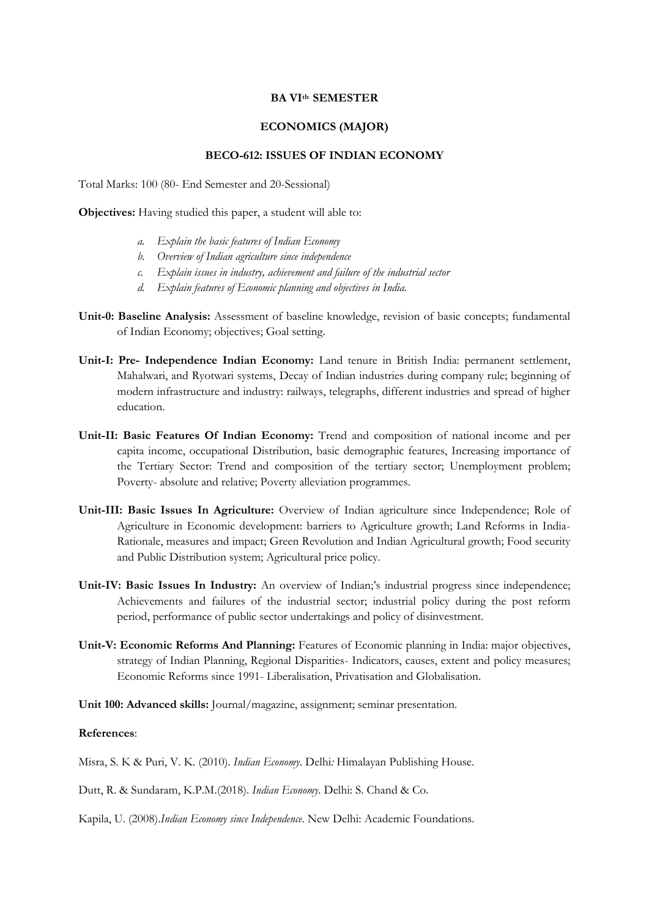## **BA VIth SEMESTER**

## **ECONOMICS (MAJOR)**

## **BECO-612: ISSUES OF INDIAN ECONOMY**

Total Marks: 100 (80- End Semester and 20-Sessional)

**Objectives:** Having studied this paper, a student will able to:

- *a. Explain the basic features of Indian Economy*
- *b. Overview of Indian agriculture since independence*
- *c. Explain issues in industry, achievement and failure of the industrial sector*
- *d. Explain features of Economic planning and objectives in India.*
- **Unit-0: Baseline Analysis:** Assessment of baseline knowledge, revision of basic concepts; fundamental of Indian Economy; objectives; Goal setting.
- **Unit-I: Pre- Independence Indian Economy:** Land tenure in British India: permanent settlement, Mahalwari, and Ryotwari systems, Decay of Indian industries during company rule; beginning of modern infrastructure and industry: railways, telegraphs, different industries and spread of higher education.
- **Unit-II: Basic Features Of Indian Economy:** Trend and composition of national income and per capita income, occupational Distribution, basic demographic features, Increasing importance of the Tertiary Sector: Trend and composition of the tertiary sector; Unemployment problem; Poverty- absolute and relative; Poverty alleviation programmes.
- **Unit-III: Basic Issues In Agriculture:** Overview of Indian agriculture since Independence; Role of Agriculture in Economic development: barriers to Agriculture growth; Land Reforms in India-Rationale, measures and impact; Green Revolution and Indian Agricultural growth; Food security and Public Distribution system; Agricultural price policy.
- **Unit-IV: Basic Issues In Industry:** An overview of Indian;'s industrial progress since independence; Achievements and failures of the industrial sector; industrial policy during the post reform period, performance of public sector undertakings and policy of disinvestment.
- **Unit-V: Economic Reforms And Planning:** Features of Economic planning in India: major objectives, strategy of Indian Planning, Regional Disparities- Indicators, causes, extent and policy measures; Economic Reforms since 1991- Liberalisation, Privatisation and Globalisation.
- **Unit 100: Advanced skills:** Journal/magazine, assignment; seminar presentation.

## **References**:

- Misra, S. K & Puri, V. K. (2010). *Indian Economy.* Delhi*:* Himalayan Publishing House.
- Dutt, R. & Sundaram, K.P.M.(2018). *Indian Economy*. Delhi: S. Chand & Co.
- Kapila, U. (2008).*Indian Economy since Independence*. New Delhi: Academic Foundations.